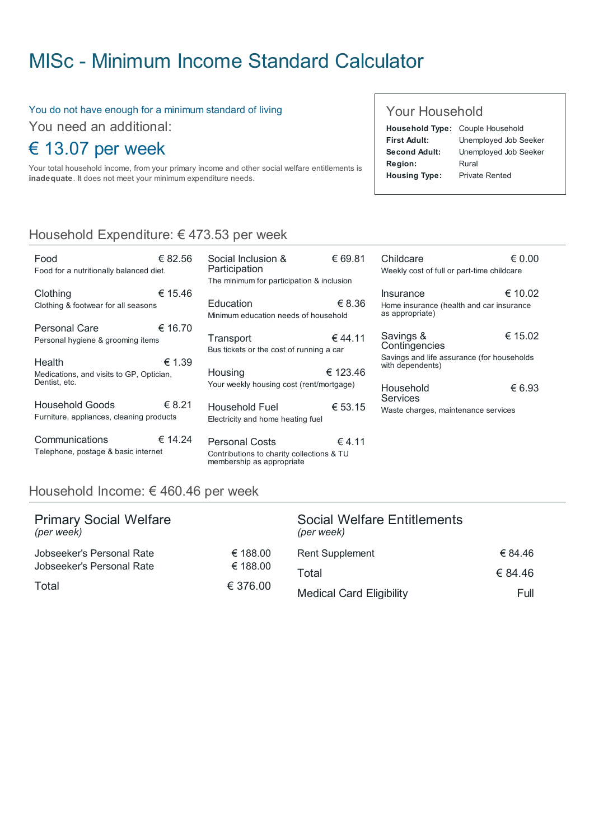# MISc - Minimum Income Standard [Calculator](http://www.misc.ie/)

#### You do not have enough for a minimum standard of living

You need an additional:

## € 13.07 per week

Food

Your total household income, from your primary income and other social welfare entitlements is inadequate. It does not meet your minimum expenditure needs.

#### Your Household

Childcare

|                      | Household Type: Couple Household |  |
|----------------------|----------------------------------|--|
| <b>First Adult:</b>  | Unemployed Job Seeker            |  |
| Second Adult:        | Unemployed Job Seeker            |  |
| Region:              | Rural                            |  |
| <b>Housing Type:</b> | <b>Private Rented</b>            |  |
|                      |                                  |  |

€ 0.00

### Household Expenditure: € 473.53 per week

| Food<br>Food for a nutritionally balanced diet.                     | € 82.56 |
|---------------------------------------------------------------------|---------|
| Clothing<br>Clothing & footwear for all seasons                     | € 15.46 |
| Personal Care<br>Personal hygiene & grooming items                  | € 16.70 |
| Health<br>Medications, and visits to GP, Optician,<br>Dentist, etc. | € 1.39  |
| Household Goods<br>Furniture, appliances, cleaning products         | € 8.21  |
| Communications<br>Telephone, postage & basic internet               | € 14.24 |

€ 69.81 € 8.36 € 44.11 € 123.46 € 53.15 € 4.11 Social Inclusion & **Participation** The minimum for participation & inclusion Education Minimum education needs of household **Transport** Bus tickets or the cost of running a car Housing Your weekly housing cost (rent/mortgage) Household Fuel Electricity and home heating fuel Personal Costs Contributions to charity collections & TU membership as appropriate

#### € 10.02 € 15.02 € 6.93 Weekly cost of full or part-time childcare Insurance Home insurance (health and car insurance as appropriate) Savings & **Contingencies** Savings and life assurance (for households with dependents) Household Services Waste charges, maintenance services

#### Household Income: € 460.46 per week

| <b>Primary Social Welfare</b><br>(per week) |          | Social Welfare Entitlements<br>(per week) |         |
|---------------------------------------------|----------|-------------------------------------------|---------|
| Jobseeker's Personal Rate                   | € 188.00 | <b>Rent Supplement</b>                    | € 84.46 |
| Jobseeker's Personal Rate                   | € 188.00 | Total                                     | € 84.46 |
| Total                                       | € 376.00 | <b>Medical Card Eligibility</b>           | Full    |